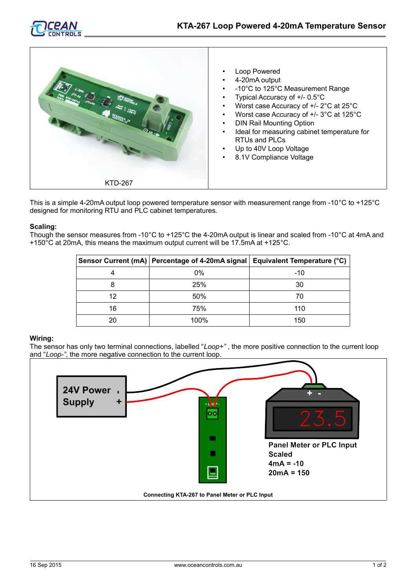



This is a simple 4-20mA output loop powered temperature sensor with measurement range from -10°C to +125°C designed for monitoring RTU and PLC cabinet temperatures.

## **Scaling:**

Though the sensor measures from -10°C to +125°C the 4-20mA output is linear and scaled from -10°C at 4mA and +150°C at 20mA, this means the maximum output current will be 17.5mA at +125°C.

|    | Sensor Current (mA)   Percentage of 4-20mA signal   Equivalent Temperature (°C) |     |
|----|---------------------------------------------------------------------------------|-----|
|    | 0%                                                                              | -10 |
|    | 25%                                                                             | 30  |
| 12 | 50%                                                                             | 70  |
| 16 | 75%                                                                             | 110 |
| 20 | 100%                                                                            | 150 |

## **Wiring:**

The sensor has only two terminal connections, labelled "*Loop+"* , the more positive connection to the current loop and "*Loop-"*, the more negative connection to the current loop.